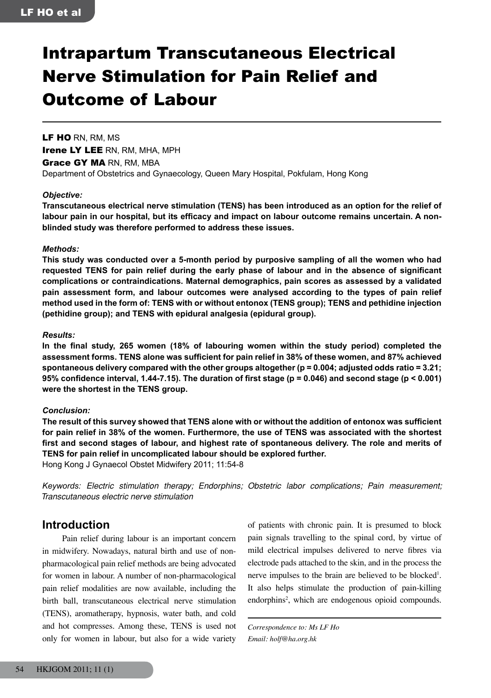# Intrapartum Transcutaneous Electrical Nerve Stimulation for Pain Relief and Outcome of Labour

LF HO RN, RM, MS Irene LY LEE RN, RM, MHA, MPH

Grace GY MA RN, RM, MBA Department of Obstetrics and Gynaecology, Queen Mary Hospital, Pokfulam, Hong Kong

#### *Objective:*

**Transcutaneous electrical nerve stimulation (TENS) has been introduced as an option for the relief of labour pain in our hospital, but its efficacy and impact on labour outcome remains uncertain. A nonblinded study was therefore performed to address these issues.**

#### *Methods:*

**This study was conducted over a 5-month period by purposive sampling of all the women who had requested TENS for pain relief during the early phase of labour and in the absence of significant complications or contraindications. Maternal demographics, pain scores as assessed by a validated pain assessment form, and labour outcomes were analysed according to the types of pain relief method used in the form of: TENS with or without entonox (TENS group); TENS and pethidine injection (pethidine group); and TENS with epidural analgesia (epidural group).**

#### *Results:*

**In the final study, 265 women (18% of labouring women within the study period) completed the assessment forms. TENS alone was sufficient for pain relief in 38% of these women, and 87% achieved spontaneous delivery compared with the other groups altogether (p = 0.004; adjusted odds ratio = 3.21; 95% confidence interval, 1.44-7.15). The duration of first stage (p = 0.046) and second stage (p < 0.001) were the shortest in the TENS group.**

#### *Conclusion:*

**The result of this survey showed that TENS alone with or without the addition of entonox was sufficient for pain relief in 38% of the women. Furthermore, the use of TENS was associated with the shortest first and second stages of labour, and highest rate of spontaneous delivery. The role and merits of TENS for pain relief in uncomplicated labour should be explored further.**

Hong Kong J Gynaecol Obstet Midwifery 2011; 11:54-8

*Keywords: Electric stimulation therapy; Endorphins; Obstetric labor complications; Pain measurement; Transcutaneous electric nerve stimulation*

## **Introduction**

Pain relief during labour is an important concern in midwifery. Nowadays, natural birth and use of nonpharmacological pain relief methods are being advocated for women in labour. A number of non-pharmacological pain relief modalities are now available, including the birth ball, transcutaneous electrical nerve stimulation (TENS), aromatherapy, hypnosis, water bath, and cold and hot compresses. Among these, TENS is used not only for women in labour, but also for a wide variety

of patients with chronic pain. It is presumed to block pain signals travelling to the spinal cord, by virtue of mild electrical impulses delivered to nerve fibres via electrode pads attached to the skin, and in the process the nerve impulses to the brain are believed to be blocked<sup>1</sup>. It also helps stimulate the production of pain-killing endorphins<sup>2</sup>, which are endogenous opioid compounds.

*Correspondence to: Ms LF Ho Email: holf@ha.org.hk*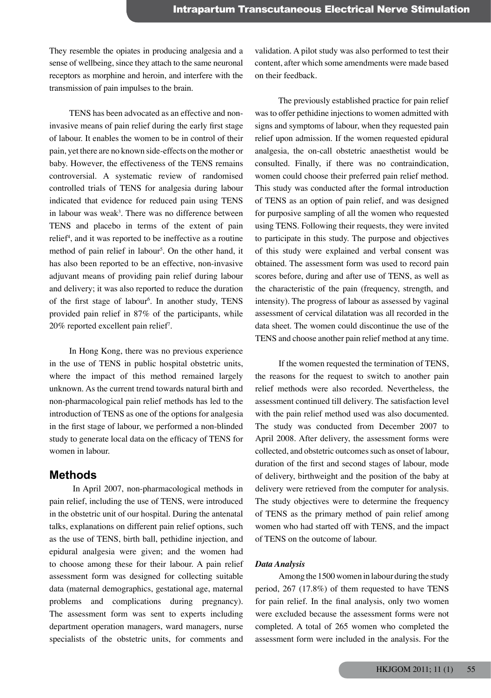They resemble the opiates in producing analgesia and a sense of wellbeing, since they attach to the same neuronal receptors as morphine and heroin, and interfere with the transmission of pain impulses to the brain.

TENS has been advocated as an effective and noninvasive means of pain relief during the early first stage of labour. It enables the women to be in control of their pain, yet there are no known side-effects on the mother or baby. However, the effectiveness of the TENS remains controversial. A systematic review of randomised controlled trials of TENS for analgesia during labour indicated that evidence for reduced pain using TENS in labour was weak<sup>3</sup>. There was no difference between TENS and placebo in terms of the extent of pain relief<sup>4</sup>, and it was reported to be ineffective as a routine method of pain relief in labour<sup>5</sup>. On the other hand, it has also been reported to be an effective, non-invasive adjuvant means of providing pain relief during labour and delivery; it was also reported to reduce the duration of the first stage of labour<sup>6</sup>. In another study, TENS provided pain relief in 87% of the participants, while 20% reported excellent pain relief7 .

In Hong Kong, there was no previous experience in the use of TENS in public hospital obstetric units, where the impact of this method remained largely unknown. As the current trend towards natural birth and non-pharmacological pain relief methods has led to the introduction of TENS as one of the options for analgesia in the first stage of labour, we performed a non-blinded study to generate local data on the efficacy of TENS for women in labour.

## **Methods**

In April 2007, non-pharmacological methods in pain relief, including the use of TENS, were introduced in the obstetric unit of our hospital. During the antenatal talks, explanations on different pain relief options, such as the use of TENS, birth ball, pethidine injection, and epidural analgesia were given; and the women had to choose among these for their labour. A pain relief assessment form was designed for collecting suitable data (maternal demographics, gestational age, maternal problems and complications during pregnancy). The assessment form was sent to experts including department operation managers, ward managers, nurse specialists of the obstetric units, for comments and

validation. A pilot study was also performed to test their content, after which some amendments were made based on their feedback.

The previously established practice for pain relief was to offer pethidine injections to women admitted with signs and symptoms of labour, when they requested pain relief upon admission. If the women requested epidural analgesia, the on-call obstetric anaesthetist would be consulted. Finally, if there was no contraindication, women could choose their preferred pain relief method. This study was conducted after the formal introduction of TENS as an option of pain relief, and was designed for purposive sampling of all the women who requested using TENS. Following their requests, they were invited to participate in this study. The purpose and objectives of this study were explained and verbal consent was obtained. The assessment form was used to record pain scores before, during and after use of TENS, as well as the characteristic of the pain (frequency, strength, and intensity). The progress of labour as assessed by vaginal assessment of cervical dilatation was all recorded in the data sheet. The women could discontinue the use of the TENS and choose another pain relief method at any time.

If the women requested the termination of TENS, the reasons for the request to switch to another pain relief methods were also recorded. Nevertheless, the assessment continued till delivery. The satisfaction level with the pain relief method used was also documented. The study was conducted from December 2007 to April 2008. After delivery, the assessment forms were collected, and obstetric outcomes such as onset of labour, duration of the first and second stages of labour, mode of delivery, birthweight and the position of the baby at delivery were retrieved from the computer for analysis. The study objectives were to determine the frequency of TENS as the primary method of pain relief among women who had started off with TENS, and the impact of TENS on the outcome of labour.

#### *Data Analysis*

Among the 1500 women in labour during the study period, 267 (17.8%) of them requested to have TENS for pain relief. In the final analysis, only two women were excluded because the assessment forms were not completed. A total of 265 women who completed the assessment form were included in the analysis. For the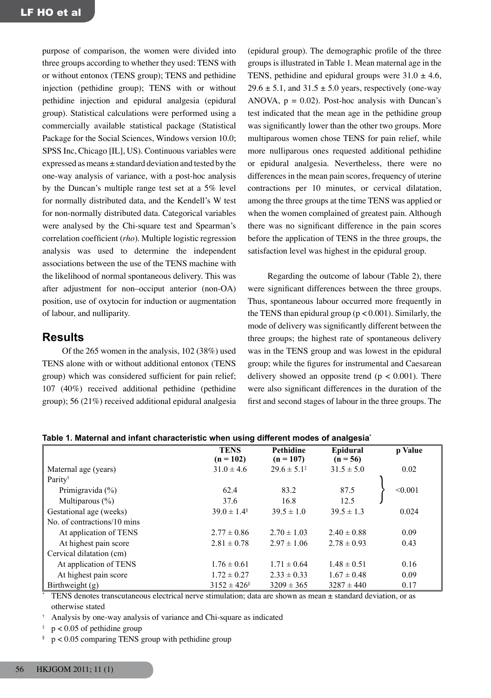purpose of comparison, the women were divided into three groups according to whether they used: TENS with or without entonox (TENS group); TENS and pethidine injection (pethidine group); TENS with or without pethidine injection and epidural analgesia (epidural group). Statistical calculations were performed using a commercially available statistical package (Statistical Package for the Social Sciences, Windows version 10.0; SPSS Inc, Chicago [IL], US). Continuous variables were expressed as means  $\pm$  standard deviation and tested by the one-way analysis of variance, with a post-hoc analysis by the Duncan's multiple range test set at a 5% level for normally distributed data, and the Kendell's W test for non-normally distributed data. Categorical variables were analysed by the Chi-square test and Spearman's correlation coefficient (*rho*). Multiple logistic regression analysis was used to determine the independent associations between the use of the TENS machine with the likelihood of normal spontaneous delivery. This was after adjustment for non–occiput anterior (non-OA) position, use of oxytocin for induction or augmentation of labour, and nulliparity.

# **Results**

Of the 265 women in the analysis, 102 (38%) used TENS alone with or without additional entonox (TENS group) which was considered sufficient for pain relief; 107 (40%) received additional pethidine (pethidine group); 56 (21%) received additional epidural analgesia (epidural group). The demographic profile of the three groups is illustrated in Table 1. Mean maternal age in the TENS, pethidine and epidural groups were  $31.0 \pm 4.6$ ,  $29.6 \pm 5.1$ , and  $31.5 \pm 5.0$  years, respectively (one-way ANOVA,  $p = 0.02$ ). Post-hoc analysis with Duncan's test indicated that the mean age in the pethidine group was significantly lower than the other two groups. More multiparous women chose TENS for pain relief, while more nulliparous ones requested additional pethidine or epidural analgesia. Nevertheless, there were no differences in the mean pain scores, frequency of uterine contractions per 10 minutes, or cervical dilatation, among the three groups at the time TENS was applied or when the women complained of greatest pain. Although there was no significant difference in the pain scores before the application of TENS in the three groups, the satisfaction level was highest in the epidural group.

Regarding the outcome of labour (Table 2), there were significant differences between the three groups. Thus, spontaneous labour occurred more frequently in the TENS than epidural group ( $p < 0.001$ ). Similarly, the mode of delivery was significantly different between the three groups; the highest rate of spontaneous delivery was in the TENS group and was lowest in the epidural group; while the figures for instrumental and Caesarean delivery showed an opposite trend ( $p < 0.001$ ). There were also significant differences in the duration of the first and second stages of labour in the three groups. The

|                             | <u>enaracteristic music achig anici chi modes or analyceia</u> |                           |                 |         |  |  |
|-----------------------------|----------------------------------------------------------------|---------------------------|-----------------|---------|--|--|
|                             | <b>TENS</b>                                                    | <b>Pethidine</b>          | Epidural        | p Value |  |  |
|                             | $(n = 102)$                                                    | $(n = 107)$               | $(n = 56)$      |         |  |  |
| Maternal age (years)        | $31.0 \pm 4.6$                                                 | $29.6 \pm 5.1^{\ddagger}$ | $31.5 \pm 5.0$  | 0.02    |  |  |
| Parity <sup>†</sup>         |                                                                |                           |                 |         |  |  |
| Primigravida $(\% )$        | 62.4                                                           | 83.2                      | 87.5            | < 0.001 |  |  |
| Multiparous $(\%)$          | 37.6                                                           | 16.8                      | 12.5            |         |  |  |
| Gestational age (weeks)     | $39.0 \pm 1.4$ <sup>§</sup>                                    | $39.5 \pm 1.0$            | $39.5 \pm 1.3$  | 0.024   |  |  |
| No. of contractions/10 mins |                                                                |                           |                 |         |  |  |
| At application of TENS      | $2.77 \pm 0.86$                                                | $2.70 \pm 1.03$           | $2.40 \pm 0.88$ | 0.09    |  |  |
| At highest pain score       | $2.81 \pm 0.78$                                                | $2.97 \pm 1.06$           | $2.78 \pm 0.93$ | 0.43    |  |  |
| Cervical dilatation (cm)    |                                                                |                           |                 |         |  |  |
| At application of TENS      | $1.76 \pm 0.61$                                                | $1.71 \pm 0.64$           | $1.48 \pm 0.51$ | 0.16    |  |  |
| At highest pain score       | $1.72 \pm 0.27$                                                | $2.33 \pm 0.33$           | $1.67 \pm 0.48$ | 0.09    |  |  |
| Birthweight $(g)$           | $3152 \pm 426$ <sup>§</sup>                                    | $3209 \pm 365$            | $3287 \pm 440$  | 0.17    |  |  |

**Table 1. Maternal and infant characteristic when using different modes of analgesia\***

TENS denotes transcutaneous electrical nerve stimulation; data are shown as mean  $\pm$  standard deviation, or as otherwise stated

<sup>†</sup> Analysis by one-way analysis of variance and Chi-square as indicated

 $p < 0.05$  of pethidine group

 $p < 0.05$  comparing TENS group with pethidine group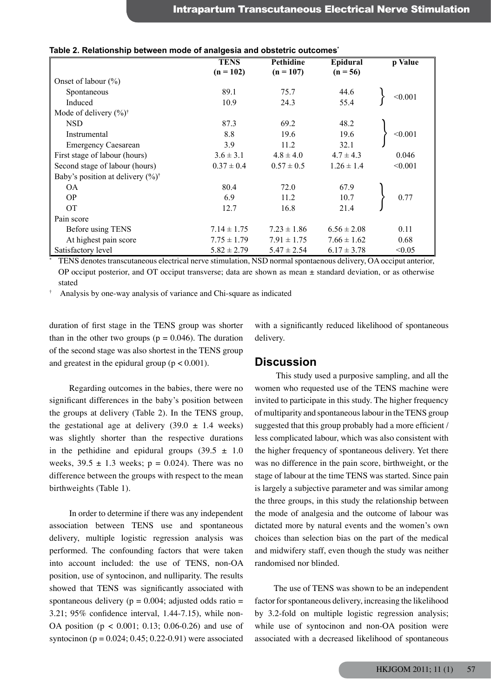|                                                       | <b>TENS</b>     | Pethidine       | Epidural        | p Value |
|-------------------------------------------------------|-----------------|-----------------|-----------------|---------|
|                                                       | $(n = 102)$     | $(n = 107)$     | $(n = 56)$      |         |
| Onset of labour $(\%)$                                |                 |                 |                 |         |
| Spontaneous                                           | 89.1            | 75.7            | 44.6            | < 0.001 |
| Induced                                               | 10.9            | 24.3            | 55.4            |         |
| Mode of delivery $(\%)^{\dagger}$                     |                 |                 |                 |         |
| <b>NSD</b>                                            | 87.3            | 69.2            | 48.2            |         |
| Instrumental                                          | 8.8             | 19.6            | 19.6            | < 0.001 |
| <b>Emergency Caesarean</b>                            | 3.9             | 11.2            | 32.1            |         |
| First stage of labour (hours)                         | $3.6 \pm 3.1$   | $4.8 \pm 4.0$   | $4.7 \pm 4.3$   | 0.046   |
| Second stage of labour (hours)                        | $0.37 \pm 0.4$  | $0.57 \pm 0.5$  | $1.26 \pm 1.4$  | < 0.001 |
| Baby's position at delivery $(\frac{6}{6})^{\dagger}$ |                 |                 |                 |         |
| <b>OA</b>                                             | 80.4            | 72.0            | 67.9            |         |
| <b>OP</b>                                             | 6.9             | 11.2            | 10.7            | 0.77    |
| <b>OT</b>                                             | 12.7            | 16.8            | 21.4            |         |
| Pain score                                            |                 |                 |                 |         |
| Before using TENS                                     | $7.14 \pm 1.75$ | $7.23 \pm 1.86$ | $6.56 \pm 2.08$ | 0.11    |
| At highest pain score                                 | $7.75 \pm 1.79$ | $7.91 \pm 1.75$ | $7.66 \pm 1.62$ | 0.68    |
| Satisfactory level                                    | $5.82 \pm 2.79$ | $5.47 \pm 2.54$ | $6.17 \pm 3.78$ | < 0.05  |
|                                                       |                 | <b>ALCO</b>     |                 |         |

#### **Table 2. Relationship between mode of analgesia and obstetric outcomes\***

TENS denotes transcutaneous electrical nerve stimulation, NSD normal spontaenous delivery, OA occiput anterior, OP occiput posterior, and OT occiput transverse; data are shown as mean  $\pm$  standard deviation, or as otherwise stated

Analysis by one-way analysis of variance and Chi-square as indicated

duration of first stage in the TENS group was shorter than in the other two groups ( $p = 0.046$ ). The duration of the second stage was also shortest in the TENS group and greatest in the epidural group ( $p < 0.001$ ).

Regarding outcomes in the babies, there were no significant differences in the baby's position between the groups at delivery (Table 2). In the TENS group, the gestational age at delivery  $(39.0 \pm 1.4 \text{ weeks})$ was slightly shorter than the respective durations in the pethidine and epidural groups  $(39.5 \pm 1.0)$ weeks,  $39.5 \pm 1.3$  weeks;  $p = 0.024$ ). There was no difference between the groups with respect to the mean birthweights (Table 1).

In order to determine if there was any independent association between TENS use and spontaneous delivery, multiple logistic regression analysis was performed. The confounding factors that were taken into account included: the use of TENS, non-OA position, use of syntocinon, and nulliparity. The results showed that TENS was significantly associated with spontaneous delivery ( $p = 0.004$ ; adjusted odds ratio = 3.21; 95% confidence interval, 1.44-7.15), while non-OA position (p < 0.001; 0.13; 0.06-0.26) and use of syntocinon ( $p = 0.024$ ; 0.45; 0.22-0.91) were associated

with a significantly reduced likelihood of spontaneous delivery.

## **Discussion**

This study used a purposive sampling, and all the women who requested use of the TENS machine were invited to participate in this study. The higher frequency of multiparity and spontaneous labour in the TENS group suggested that this group probably had a more efficient / less complicated labour, which was also consistent with the higher frequency of spontaneous delivery. Yet there was no difference in the pain score, birthweight, or the stage of labour at the time TENS was started. Since pain is largely a subjective parameter and was similar among the three groups, in this study the relationship between the mode of analgesia and the outcome of labour was dictated more by natural events and the women's own choices than selection bias on the part of the medical and midwifery staff, even though the study was neither randomised nor blinded.

The use of TENS was shown to be an independent factor for spontaneous delivery, increasing the likelihood by 3.2-fold on multiple logistic regression analysis; while use of syntocinon and non-OA position were associated with a decreased likelihood of spontaneous